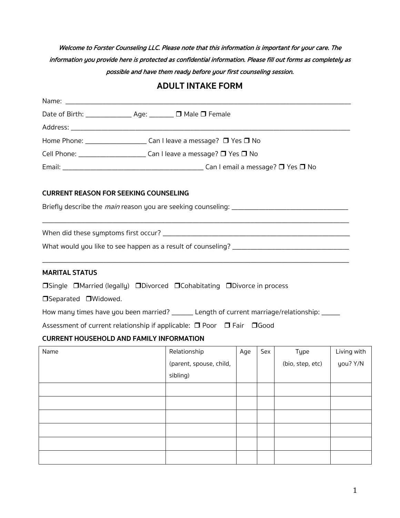Welcome to Forster Counseling LLC. Please note that this information is important for your care. The information you provide here is protected as confidential information. Please fill out forms as completely as possible and have them ready before your first counseling session.

# **ADULT INTAKE FORM**

| Date of Birth: _________________ Age: ________ □ Male □ Female                                                                                                                                                                 |                         |     |     |                  |             |  |  |  |
|--------------------------------------------------------------------------------------------------------------------------------------------------------------------------------------------------------------------------------|-------------------------|-----|-----|------------------|-------------|--|--|--|
|                                                                                                                                                                                                                                |                         |     |     |                  |             |  |  |  |
| Home Phone: ________________________ Can I leave a message? □ Yes □ No                                                                                                                                                         |                         |     |     |                  |             |  |  |  |
| Cell Phone: _________________________________ Can I leave a message? □ Yes □ No                                                                                                                                                |                         |     |     |                  |             |  |  |  |
|                                                                                                                                                                                                                                |                         |     |     |                  |             |  |  |  |
| <b>CURRENT REASON FOR SEEKING COUNSELING</b>                                                                                                                                                                                   |                         |     |     |                  |             |  |  |  |
|                                                                                                                                                                                                                                |                         |     |     |                  |             |  |  |  |
|                                                                                                                                                                                                                                |                         |     |     |                  |             |  |  |  |
| What would you like to see happen as a result of counseling? [14] The manner and the set of the set of the set of the set of the set of the set of the set of the set of the set of the set of the set of the set of the set o |                         |     |     |                  |             |  |  |  |
| <b>MARITAL STATUS</b>                                                                                                                                                                                                          |                         |     |     |                  |             |  |  |  |
| □Single □Married (legally) □Divorced □Cohabitating □Divorce in process                                                                                                                                                         |                         |     |     |                  |             |  |  |  |
| □Separated □Widowed.                                                                                                                                                                                                           |                         |     |     |                  |             |  |  |  |
| How many times have you been married? ______ Length of current marriage/relationship: _____                                                                                                                                    |                         |     |     |                  |             |  |  |  |
| Assessment of current relationship if applicable: □ Poor □ Fair □ Good                                                                                                                                                         |                         |     |     |                  |             |  |  |  |
| <b>CURRENT HOUSEHOLD AND FAMILY INFORMATION</b>                                                                                                                                                                                |                         |     |     |                  |             |  |  |  |
| Name                                                                                                                                                                                                                           | Relationship            | Age | Sex | Type             | Living with |  |  |  |
|                                                                                                                                                                                                                                | (parent, spouse, child, |     |     | (bio, step, etc) | you? Y/N    |  |  |  |
|                                                                                                                                                                                                                                | sibling)                |     |     |                  |             |  |  |  |
|                                                                                                                                                                                                                                |                         |     |     |                  |             |  |  |  |
|                                                                                                                                                                                                                                |                         |     |     |                  |             |  |  |  |
|                                                                                                                                                                                                                                |                         |     |     |                  |             |  |  |  |
|                                                                                                                                                                                                                                |                         |     |     |                  |             |  |  |  |
|                                                                                                                                                                                                                                |                         |     |     |                  |             |  |  |  |
|                                                                                                                                                                                                                                |                         |     |     |                  |             |  |  |  |
|                                                                                                                                                                                                                                |                         |     |     |                  |             |  |  |  |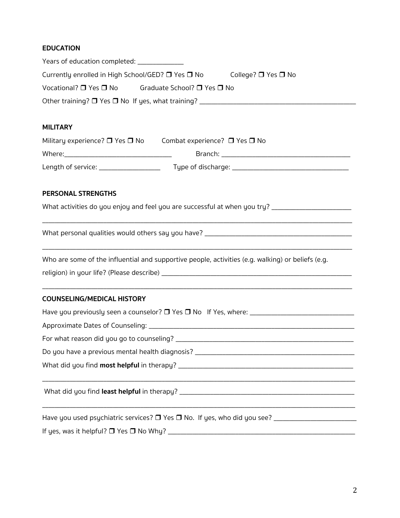# **EDUCATION**

| Years of education completed: ____________                                                            |  |  |  |  |  |  |
|-------------------------------------------------------------------------------------------------------|--|--|--|--|--|--|
| Currently enrolled in High School/GED? $\square$ Yes $\square$ No College? $\square$ Yes $\square$ No |  |  |  |  |  |  |
| Vocational? □ Yes □ No Graduate School? □ Yes □ No                                                    |  |  |  |  |  |  |
|                                                                                                       |  |  |  |  |  |  |
|                                                                                                       |  |  |  |  |  |  |
| <b>MILITARY</b>                                                                                       |  |  |  |  |  |  |
| Military experience? $\Box$ Yes $\Box$ No Combat experience? $\Box$ Yes $\Box$ No                     |  |  |  |  |  |  |
|                                                                                                       |  |  |  |  |  |  |
|                                                                                                       |  |  |  |  |  |  |
| PERSONAL STRENGTHS                                                                                    |  |  |  |  |  |  |
| What activities do you enjoy and feel you are successful at when you try? ________________________    |  |  |  |  |  |  |
|                                                                                                       |  |  |  |  |  |  |
| Who are some of the influential and supportive people, activities (e.g. walking) or beliefs (e.g.     |  |  |  |  |  |  |
|                                                                                                       |  |  |  |  |  |  |
| <b>COUNSELING/MEDICAL HISTORY</b>                                                                     |  |  |  |  |  |  |
|                                                                                                       |  |  |  |  |  |  |
|                                                                                                       |  |  |  |  |  |  |
|                                                                                                       |  |  |  |  |  |  |
|                                                                                                       |  |  |  |  |  |  |
|                                                                                                       |  |  |  |  |  |  |
|                                                                                                       |  |  |  |  |  |  |
| Have you used psychiatric services? □ Yes □ No. If yes, who did you see? __________________________   |  |  |  |  |  |  |
| If yes, was it helpful? $\Box$ Yes $\Box$ No Why? _                                                   |  |  |  |  |  |  |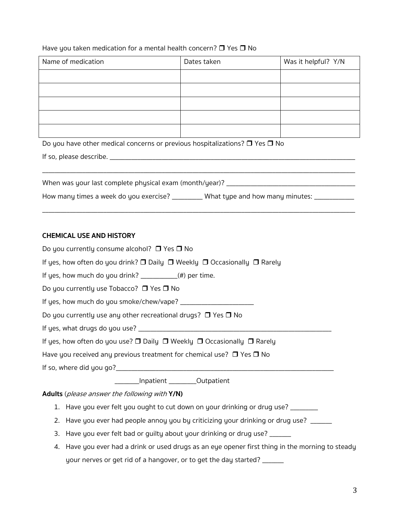### Have you taken medication for a mental health concern?  $\Box$  Yes  $\Box$  No

| Name of medication | Dates taken | Was it helpful? Y/N |  |  |
|--------------------|-------------|---------------------|--|--|
|                    |             |                     |  |  |
|                    |             |                     |  |  |
|                    |             |                     |  |  |
|                    |             |                     |  |  |
|                    |             |                     |  |  |

Do you have other medical concerns or previous hospitalizations?  $\Box$  Yes  $\Box$  No

If so, please describe. \_\_\_\_\_\_\_\_\_\_\_\_\_\_\_\_\_\_\_\_\_\_\_\_\_\_\_\_\_\_\_\_\_\_\_\_\_\_\_\_\_\_\_\_\_\_\_\_\_\_\_\_\_\_\_\_\_\_\_\_\_\_\_\_\_\_\_\_\_\_\_\_\_\_\_\_\_\_\_\_

| When was your last complete physical exam (month/year)? |  |
|---------------------------------------------------------|--|
|                                                         |  |

\_\_\_\_\_\_\_\_\_\_\_\_\_\_\_\_\_\_\_\_\_\_\_\_\_\_\_\_\_\_\_\_\_\_\_\_\_\_\_\_\_\_\_\_\_\_\_\_\_\_\_\_\_\_\_\_\_\_\_\_\_\_\_\_\_\_\_\_\_\_\_\_\_\_\_\_\_\_\_\_\_\_\_\_\_\_\_\_\_\_\_\_\_\_\_\_\_\_\_\_\_\_

| How many times a week do you exercise? | _______ What type and how many minutes: |  |
|----------------------------------------|-----------------------------------------|--|
|----------------------------------------|-----------------------------------------|--|

### **CHEMICAL USE AND HISTORY**

| Do you currently consume alcohol? $\Box$ Yes $\Box$ No                                                 |  |  |  |  |
|--------------------------------------------------------------------------------------------------------|--|--|--|--|
| If yes, how often do you drink? $\Box$ Daily $\Box$ Weekly $\Box$ Occasionally $\Box$ Rarely           |  |  |  |  |
| If yes, how much do you drink? $\frac{1}{2}$ (#) per time.                                             |  |  |  |  |
| Do you currently use Tobacco? $\Box$ Yes $\Box$ No                                                     |  |  |  |  |
|                                                                                                        |  |  |  |  |
| Do you currently use any other recreational drugs? $\Box$ Yes $\Box$ No                                |  |  |  |  |
|                                                                                                        |  |  |  |  |
| If yes, how often do you use? $\square$ Daily $\square$ Weekly $\square$ Occasionally $\square$ Rarely |  |  |  |  |
| Have you received any previous treatment for chemical use? $\Box$ Yes $\Box$ No                        |  |  |  |  |
|                                                                                                        |  |  |  |  |
| _________Inpatient __________Outpatient                                                                |  |  |  |  |
| Adults (please answer the following with Y/N)                                                          |  |  |  |  |
| 1. Have you ever felt you ought to cut down on your drinking or drug use?                              |  |  |  |  |

- 2. Have you ever had people annoy you by criticizing your drinking or drug use? \_\_\_\_\_
- 3. Have you ever felt bad or guilty about your drinking or drug use? \_\_\_\_\_\_
- 4. Have you ever had a drink or used drugs as an eye opener first thing in the morning to steady your nerves or get rid of a hangover, or to get the day started? \_\_\_\_\_\_\_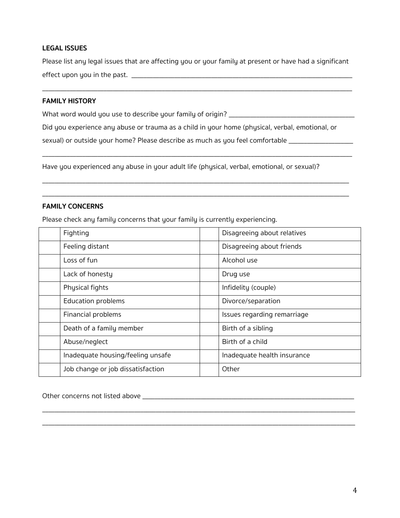### **LEGAL ISSUES**

Please list any legal issues that are affecting you or your family at present or have had a significant effect upon you in the past. \_\_\_\_\_\_\_\_\_\_\_\_\_\_\_\_\_\_\_\_\_\_\_\_\_\_\_\_\_\_\_\_\_\_\_\_\_\_\_\_\_\_\_\_\_\_\_\_\_\_\_\_\_\_\_\_\_\_\_\_\_\_\_\_\_\_\_\_\_\_\_\_

\_\_\_\_\_\_\_\_\_\_\_\_\_\_\_\_\_\_\_\_\_\_\_\_\_\_\_\_\_\_\_\_\_\_\_\_\_\_\_\_\_\_\_\_\_\_\_\_\_\_\_\_\_\_\_\_\_\_\_\_\_\_\_\_\_\_\_\_\_\_\_\_\_\_\_\_\_\_\_\_\_\_\_\_\_\_\_\_\_\_\_\_\_\_\_\_\_\_\_\_\_

### **FAMILY HISTORY**

What word would you use to describe your family of origin? \_\_\_\_\_\_\_\_\_\_\_\_\_\_\_\_\_\_\_\_\_\_\_\_\_\_\_\_\_\_\_\_\_\_\_\_\_\_\_\_\_

Did you experience any abuse or trauma as a child in your home (physical, verbal, emotional, or

\_\_\_\_\_\_\_\_\_\_\_\_\_\_\_\_\_\_\_\_\_\_\_\_\_\_\_\_\_\_\_\_\_\_\_\_\_\_\_\_\_\_\_\_\_\_\_\_\_\_\_\_\_\_\_\_\_\_\_\_\_\_\_\_\_\_\_\_\_\_\_\_\_\_\_\_\_\_\_\_\_\_\_\_\_\_\_\_\_\_\_\_\_\_\_\_\_\_\_\_\_

\_\_\_\_\_\_\_\_\_\_\_\_\_\_\_\_\_\_\_\_\_\_\_\_\_\_\_\_\_\_\_\_\_\_\_\_\_\_\_\_\_\_\_\_\_\_\_\_\_\_\_\_\_\_\_\_\_\_\_\_\_\_\_\_\_\_\_\_\_\_\_\_\_\_\_\_\_\_\_\_\_\_\_\_\_\_\_\_\_\_\_\_\_\_\_\_\_\_\_\_

\_\_\_\_\_\_\_\_\_\_\_\_\_\_\_\_\_\_\_\_\_\_\_\_\_\_\_\_\_\_\_\_\_\_\_\_\_\_\_\_\_\_\_\_\_\_\_\_\_\_\_\_\_\_\_\_\_\_\_\_\_\_\_\_\_\_\_\_\_\_\_\_\_\_\_\_\_\_\_\_\_\_\_\_\_\_\_\_\_\_\_\_\_\_\_\_\_\_\_\_

sexual) or outside your home? Please describe as much as you feel comfortable \_\_\_\_\_\_\_\_\_\_\_\_\_\_\_\_\_\_\_\_\_

Have you experienced any abuse in your adult life (physical, verbal, emotional, or sexual)?

#### **FAMILY CONCERNS**

Please check any family concerns that your family is currently experiencing.

| Fighting                          | Disagreeing about relatives |  |
|-----------------------------------|-----------------------------|--|
| Feeling distant                   | Disagreeing about friends   |  |
| Loss of fun                       | Alcohol use                 |  |
| Lack of honesty                   | Drug use                    |  |
| Physical fights                   | Infidelity (couple)         |  |
| <b>Education problems</b>         | Divorce/separation          |  |
| Financial problems                | Issues regarding remarriage |  |
| Death of a family member          | Birth of a sibling          |  |
| Abuse/neglect                     | Birth of a child            |  |
| Inadequate housing/feeling unsafe | Inadequate health insurance |  |
| Job change or job dissatisfaction | Other                       |  |

\_\_\_\_\_\_\_\_\_\_\_\_\_\_\_\_\_\_\_\_\_\_\_\_\_\_\_\_\_\_\_\_\_\_\_\_\_\_\_\_\_\_\_\_\_\_\_\_\_\_\_\_\_\_\_\_\_\_\_\_\_\_\_\_\_\_\_\_\_\_\_\_\_\_\_\_\_\_\_\_\_\_\_\_\_\_\_\_\_\_\_\_\_\_\_\_\_\_\_\_\_\_ \_\_\_\_\_\_\_\_\_\_\_\_\_\_\_\_\_\_\_\_\_\_\_\_\_\_\_\_\_\_\_\_\_\_\_\_\_\_\_\_\_\_\_\_\_\_\_\_\_\_\_\_\_\_\_\_\_\_\_\_\_\_\_\_\_\_\_\_\_\_\_\_\_\_\_\_\_\_\_\_\_\_\_\_\_\_\_\_\_\_\_\_\_\_\_\_\_\_\_\_\_\_

Other concerns not listed above \_\_\_\_\_\_\_\_\_\_\_\_\_\_\_\_\_\_\_\_\_\_\_\_\_\_\_\_\_\_\_\_\_\_\_\_\_\_\_\_\_\_\_\_\_\_\_\_\_\_\_\_\_\_\_\_\_\_\_\_\_\_\_\_\_\_\_\_\_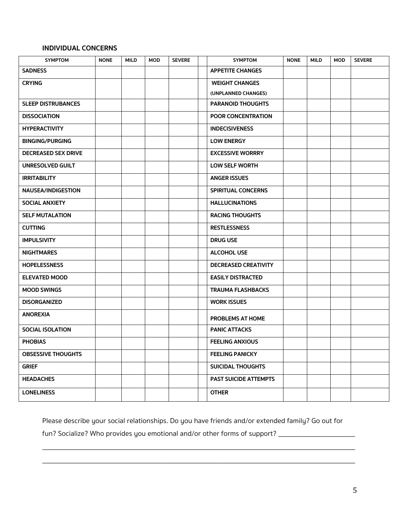### **INDIVIDUAL CONCERNS**

| <b>SYMPTOM</b>             | <b>NONE</b> | <b>MILD</b> | <b>MOD</b> | <b>SEVERE</b> | <b>SYMPTOM</b>               | <b>NONE</b> | <b>MILD</b> | <b>MOD</b> | <b>SEVERE</b> |
|----------------------------|-------------|-------------|------------|---------------|------------------------------|-------------|-------------|------------|---------------|
| <b>SADNESS</b>             |             |             |            |               | <b>APPETITE CHANGES</b>      |             |             |            |               |
| <b>CRYING</b>              |             |             |            |               | <b>WEIGHT CHANGES</b>        |             |             |            |               |
|                            |             |             |            |               | (UNPLANNED CHANGES)          |             |             |            |               |
| <b>SLEEP DISTRUBANCES</b>  |             |             |            |               | <b>PARANOID THOUGHTS</b>     |             |             |            |               |
| <b>DISSOCIATION</b>        |             |             |            |               | <b>POOR CONCENTRATION</b>    |             |             |            |               |
| <b>HYPERACTIVITY</b>       |             |             |            |               | <b>INDECISIVENESS</b>        |             |             |            |               |
| <b>BINGING/PURGING</b>     |             |             |            |               | <b>LOW ENERGY</b>            |             |             |            |               |
| <b>DECREASED SEX DRIVE</b> |             |             |            |               | <b>EXCESSIVE WORRRY</b>      |             |             |            |               |
| <b>UNRESOLVED GUILT</b>    |             |             |            |               | <b>LOW SELF WORTH</b>        |             |             |            |               |
| <b>IRRITABILITY</b>        |             |             |            |               | <b>ANGER ISSUES</b>          |             |             |            |               |
| <b>NAUSEA/INDIGESTION</b>  |             |             |            |               | <b>SPIRITUAL CONCERNS</b>    |             |             |            |               |
| <b>SOCIAL ANXIETY</b>      |             |             |            |               | <b>HALLUCINATIONS</b>        |             |             |            |               |
| <b>SELF MUTALATION</b>     |             |             |            |               | <b>RACING THOUGHTS</b>       |             |             |            |               |
| <b>CUTTING</b>             |             |             |            |               | <b>RESTLESSNESS</b>          |             |             |            |               |
| <b>IMPULSIVITY</b>         |             |             |            |               | <b>DRUG USE</b>              |             |             |            |               |
| <b>NIGHTMARES</b>          |             |             |            |               | <b>ALCOHOL USE</b>           |             |             |            |               |
| <b>HOPELESSNESS</b>        |             |             |            |               | <b>DECREASED CREATIVITY</b>  |             |             |            |               |
| <b>ELEVATED MOOD</b>       |             |             |            |               | <b>EASILY DISTRACTED</b>     |             |             |            |               |
| <b>MOOD SWINGS</b>         |             |             |            |               | <b>TRAUMA FLASHBACKS</b>     |             |             |            |               |
| <b>DISORGANIZED</b>        |             |             |            |               | <b>WORK ISSUES</b>           |             |             |            |               |
| <b>ANOREXIA</b>            |             |             |            |               | <b>PROBLEMS AT HOME</b>      |             |             |            |               |
| <b>SOCIAL ISOLATION</b>    |             |             |            |               | <b>PANIC ATTACKS</b>         |             |             |            |               |
| <b>PHOBIAS</b>             |             |             |            |               | <b>FEELING ANXIOUS</b>       |             |             |            |               |
| <b>OBSESSIVE THOUGHTS</b>  |             |             |            |               | <b>FEELING PANICKY</b>       |             |             |            |               |
| <b>GRIEF</b>               |             |             |            |               | <b>SUICIDAL THOUGHTS</b>     |             |             |            |               |
| <b>HEADACHES</b>           |             |             |            |               | <b>PAST SUICIDE ATTEMPTS</b> |             |             |            |               |
| <b>LONELINESS</b>          |             |             |            |               | <b>OTHER</b>                 |             |             |            |               |

Please describe your social relationships. Do you have friends and/or extended family? Go out for

\_\_\_\_\_\_\_\_\_\_\_\_\_\_\_\_\_\_\_\_\_\_\_\_\_\_\_\_\_\_\_\_\_\_\_\_\_\_\_\_\_\_\_\_\_\_\_\_\_\_\_\_\_\_\_\_\_\_\_\_\_\_\_\_\_\_\_\_\_\_\_\_\_\_\_\_\_\_\_\_\_\_\_\_\_\_\_\_\_\_\_\_\_\_\_\_\_\_\_\_\_\_

\_\_\_\_\_\_\_\_\_\_\_\_\_\_\_\_\_\_\_\_\_\_\_\_\_\_\_\_\_\_\_\_\_\_\_\_\_\_\_\_\_\_\_\_\_\_\_\_\_\_\_\_\_\_\_\_\_\_\_\_\_\_\_\_\_\_\_\_\_\_\_\_\_\_\_\_\_\_\_\_\_\_\_\_\_\_\_\_\_\_\_\_\_\_\_\_\_\_\_\_\_\_

fun? Socialize? Who provides you emotional and/or other forms of support? \_\_\_\_\_\_\_\_\_\_\_\_\_\_\_\_\_\_\_\_\_\_\_\_\_